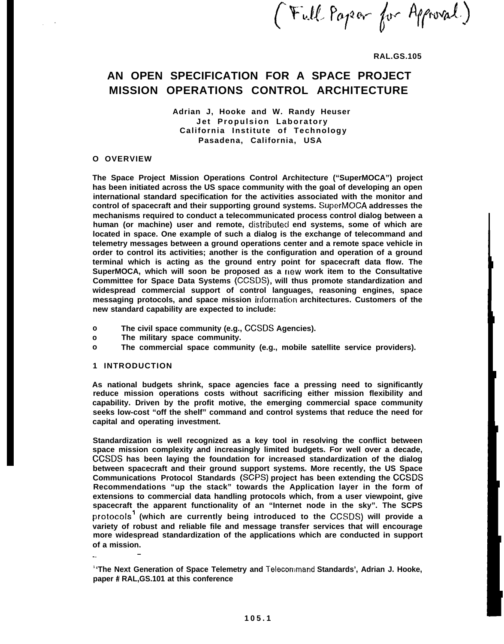**(%-d!.. Pop-- (F qptNd.)**

**RAL.GS.105**

## **AN OPEN SPECIFICATION FOR A SPACE PROJECT MISSION OPERATIONS CONTROL ARCHITECTURE**

**Adrian J, Hooke and W. Randy Heuser Jet Propulsion Laboratory California Institute of Technology Pasadena, California, USA**

#### **O OVERVIEW**

. "

**The Space Project Mission Operations Control Architecture ("SuperMOCA") project has been initiated across the US space community with the goal of developing an open international standard specification for the activities associated with the monitor and control of spacecraft and their supporting ground systems. SupcrMOCA addresses the mechanisms required to conduct a telecommunicated process control dialog between a** human (or machine) user and remote, distributed end systems, some of which are **located in space. One example of such a dialog is the exchange of telecommand and telemetry messages between a ground operations center and a remote space vehicle in order to control its activities; another is the configuration and operation of a ground terminal which is acting as the ground entry point for spacecraft data flow. The SuperMOCA, which will soon be proposed as a flew work item to the Consultative Committee for Space Data Systems (CCSDS), will thus promote standardization and widespread commercial support of control languages, reasoning engines, space messaging protocols, and space mission informaticm architectures. Customers of the new standard capability are expected to include:**

- **o The civil space community (e.g., CCSDS Agencies).**
- **o The military space community.**
- **o The commercial space community (e.g., mobile satellite service providers).**

#### **1 INTRODUCTION**

**.— —**

**As national budgets shrink, space agencies face a pressing need to significantly reduce mission operations costs without sacrificing either mission flexibility and capability. Driven by the profit motive, the emerging commercial space community seeks low-cost "off the shelf" command and control systems that reduce the need for capital and operating investment.**

**Standardization is well recognized as a key tool in resolving the conflict between space mission complexity and increasingly limited budgets. For well over a decade, CCSDS has been laying the foundation for increased standardization of the dialog between spacecraft and their ground support systems. More recently, the US Space Communications Protocol Standards (SCPS) project has been extending the CCSDS Recommendations "up the stack" towards the Application layer in the form of extensions to commercial data handling protocols which, from a user viewpoint, give spacecraft the apparent functionality of an "Internet node in the sky". The SCPS protocolsl (which are currently being introduced to the CCSDS) will provide a variety of robust and reliable file and message transfer services that will encourage more widespread standardization of the applications which are conducted in support of a mission.**

**<sup>1</sup>'The Next Generation of Space Telemetry and Telecommand Standards', Adrian J. Hooke, paper # RAL,GS.101 at this conference**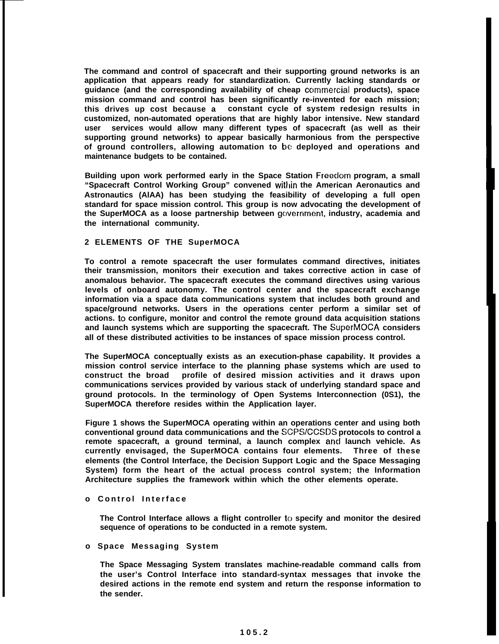**The command and control of spacecraft and their supporting ground networks is an application that appears ready for standardization. Currently lacking standards or guidance (and the corresponding availability of cheap cclmmercial products), space mission command and control has been significantly re-invented for each mission; this drives up cost because a constant cycle of system redesign results in customized, non-automated operations that are highly labor intensive. New standard user services would allow many different types of spacecraft (as well as their supporting ground networks) to appear basically harmonious from the perspective of ground controllers, allowing automation to bc deployed and operations and maintenance budgets to be contained.**

**Building upon work performed early in the Space Station Freeclom program, a small "Spacecraft Control Working Group" convened wittlin the American Aeronautics and Astronautics (AlAA) has been studying the feasibility of developing a full open standard for space mission control. This group is now advocating the development of the SuperMOCA as a loose partnership between gc)vernment, industry, academia and the international community.**

#### **2 ELEMENTS OF THE SuperMOCA**

**To control a remote spacecraft the user formulates command directives, initiates their transmission, monitors their execution and takes corrective action in case of anomalous behavior. The spacecraft executes the command directives using various levels of onboard autonomy. The control center and the spacecraft exchange information via a space data communications system that includes both ground and space/ground networks. Users in the operations center perform a similar set of actions. to configure, monitor and control the remote ground data acquisition stations and launch systems which are supporting the spacecraft. The SuperMOCA considers all of these distributed activities to be instances of space mission process control.**

**The SuperMOCA conceptually exists as an execution-phase capability. It provides a mission control service interface to the planning phase systems which are used to construct the broad profile of desired mission activities and it draws upon communications services provided by various stack of underlying standard space and ground protocols. In the terminology of Open Systems Interconnection (0S1), the SuperMOCA therefore resides within the Application layer.**

**Figure 1 shows the SuperMOCA operating within an operations center and using both conventional ground data communications and the SCPS/CCSDS protocols to control a remote spacecraft, a ground terminal, a launch complex ancl launch vehicle. As currently envisaged, the SuperMOCA contains four elements. Three of these elements (the Control Interface, the Decision Support Logic and the Space Messaging System) form the heart of the actual process control system; the Information Architecture supplies the framework within which the other elements operate.**

#### **o Control Interface**

**The Control Interface allows a flight controller to specify and monitor the desired sequence of operations to be conducted in a remote system.**

## **o Space Messaging System**

**The Space Messaging System translates machine-readable command calls from the user's Control Interface into standard-syntax messages that invoke the desired actions in the remote end system and return the response information to the sender.**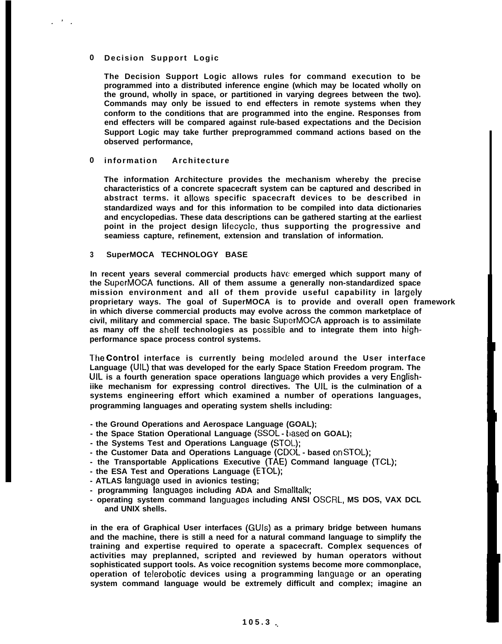## **0 Decision Support Logic**

**. ' .**

**The Decision Support Logic allows rules for command execution to be programmed into a distributed inference engine (which may be located wholly on the ground, wholly in space, or partitioned in varying degrees between the two). Commands may only be issued to end effecters in remote systems when they conform to the conditions that are programmed into the engine. Responses from end effecters will be compared against rule-based expectations and the Decision Support Logic may take further preprogrammed command actions based on the observed performance,**

#### **0 information Architecture**

**The information Architecture provides the mechanism whereby the precise characteristics of a concrete spacecraft system can be captured and described in abstract terms. it ailows specific spacecraft devices to be described in standardized ways and for this information to be compiled into data dictionaries and encyclopedias. These data descriptions can be gathered starting at the earliest point in the project design iifecycle, thus supporting the progressive and seamiess capture, refinement, extension and translation of information.**

#### **3 SuperMOCA TECHNOLOGY BASE**

**In recent years several commercial products have emerged which support many of the SuperMOCA functions. All of them assume a generally non-standardized space mission environment and all of them provide useful capability in iargeiy proprietary ways. The goal of SuperMOCA is to provide and overall open framework in which diverse commercial products may evolve across the common marketplace of civil, military and commercial space. The basic SuperMOCA approach is to assimilate as many off the sheif technologies as possibie and to integrate them into highperformance space process control systems.**

**T'he Controi interface is currently being modeied around the User interface Language (UiL) that was developed for the early Space Station Freedom program. The UiL is a fourth generation space operations ianguage which provides a very Engiishiike mechanism for expressing control directives. The UiL is the culmination of a systems engineering effort which examined a number of operations languages, programming languages and operating system shells including:**

- **the Ground Operations and Aerospace Language (GOAL);**
- the Space Station Operational Language (SSOL based on GOAL);
- **the Systems Test and Operations Language (STOL);**
- **the Customer Data and Operations Language (CDOL based on STOL);**
- **the Transportable Applications Executive (TAE) Command language (TCL);**
- **the ESA Test and Operations Language (ETOL);**
- **ATLAS ianguage used in avionics testing;**
- **programming ianguages including ADA and Smalltalk;**
- **operating system command ianguages including ANSI OSCRL, MS DOS, VAX DCL and UNIX shells.**

**in the era of Graphical User interfaces (GUIS) as a primary bridge between humans and the machine, there is still a need for a natural command language to simplify the training and expertise required to operate a spacecraft. Complex sequences of activities may preplanned, scripted and reviewed by human operators without sophisticated support tools. As voice recognition systems become more commonplace, operation of telerobotic devices using a programming ianguage or an operating system command language would be extremely difficult and complex; imagine an**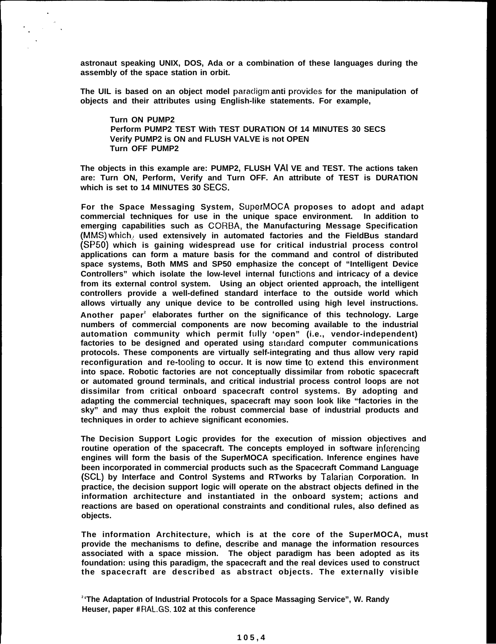**astronaut speaking UNIX, DOS, Ada or a combination of these languages during the assembly of the space station in orbit.**

**The UIL is based on an object model paraciigm anti provicles for the manipulation of objects and their attributes using English-like statements. For example,**

**Turn ON PUMP2 Perform PUMP2 TEST With TEST DURATION Of 14 MINUTES 30 SECS Verify PUMP2 is ON and FLUSH VALVE is not OPEN Turn OFF PUMP2**

**The objects in this example are: PUMP2, FLUSH VAI VE and TEST. The actions taken are: Turn ON, Perform, Verify and Turn OFF. An attribute of TEST is DURATION which is set to 14 MINUTES 30 SECS.**

**For the Space Messaging System, SuperMOCA proposes to adopt and adapt commercial techniques for use in the unique space environment. In addition to emerging capabilities such as CORBA, the Manufacturing Message Specification (MMS)** which, used extensively in automated factories and the FieldBus standard **(SP50) which is gaining widespread use for critical industrial process control applications can form a mature basis for the command and control of distributed space systems, Both MMS and SP50 emphasize the concept of "Intelligent Device Controllers" which isolate the low-level internal fuilctions and intricacy of a device from its external control system. Using an object oriented approach, the intelligent controllers provide a well-defined standard interface to the outside world which allows virtually any unique device to be controlled using high level instructions.**

**Another paper<sup>2</sup> elaborates further on the significance of this technology. Large numbers of commercial components are now becoming available to the industrial automation community which permit fully 'open" (i.e., vendor-independent)** factories to be designed and operated using standard computer communications **protocols. These components are virtually self-integrating and thus allow very rapid reconfiguration and re-tooling to occur. It is now time to extend this environment into space. Robotic factories are not conceptually dissimilar from robotic spacecraft or automated ground terminals, and critical industrial process control loops are not dissimilar from critical onboard spacecraft control systems. By adopting and adapting the commercial techniques, spacecraft may soon look like "factories in the sky" and may thus exploit the robust commercial base of industrial products and techniques in order to achieve significant economies.**

**The Decision Support Logic provides for the execution of mission objectives and routine operation of the spacecraft. The concepts employed in software inferencing engines will form the basis of the SuperMOCA specification. Inference engines have been incorporated in commercial products such as the Spacecraft Command Language (SCL) by Interface and Control Systems and RTworks by Talarian Corporation. In practice, the decision support logic will operate on the abstract objects defined in the information architecture and instantiated in the onboard system; actions and reactions are based on operational constraints and conditional rules, also defined as objects.**

**The information Architecture, which is at the core of the SuperMOCA, must provide the mechanisms to define, describe and manage the information resources associated with a space mission. The object paradigm has been adopted as its foundation: using this paradigm, the spacecraft and the real devices used to construct the spacecraft are described as abstract objects. The externally visible**

**<sup>2</sup>'The Adaptation of Industrial Protocols for a Space Massaging Service", W. Randy Heuser, paper # RAL.GS. 102 at this conference**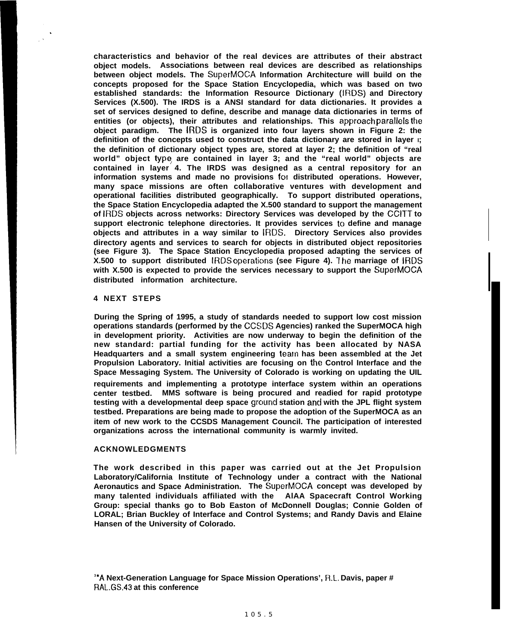**characteristics and behavior of the real devices are attributes of their abstract object models. Associations between real devices are described as relationships between object models. The SuperMOCA Information Architecture will build on the concepts proposed for the Space Station Encyclopedia, which was based on two established standards: the Information Resource Dictionary (IRDS) and Directory Services (X.500). The IRDS is a ANSI standard for data dictionaries. It provides a set of services designed to define, describe and manage data dictionaries in terms of entities (or objects), their attributes and relationships. This approach paralle[s the object paradigm. The IRDS is organized into four layers shown in Figure 2: the definition of the concepts used to construct the data dictionary are stored in layer I; the definition of dictionary object types are, stored at layer 2; the definition of "real world" object type, are contained in layer 3; and the "real world" objects are contained in layer 4. The IRDS was designed as a central repository for an information systems and made no provisions for distributed operations. However, many space missions are often collaborative ventures with development and operational facilities distributed geographically. To support distributed operations, the Space Station Encyclopedia adapted the X.500 standard to support the management of IRDS objects across networks: Directory Services was developed by the CCITT to** support electronic telephone directories. It provides services to define and manage **objects and attributes in a way similar to IRDS. Directory Services also provides directory agents and services to search for objects in distributed object repositories (see Figure 3). The Space Station Encyclopedia proposed adapting the services of X.500 to support distributed IRDS operaticms (see Figure 4). The marriage of IRDS with X.500 is expected to provide the services necessary to support the SuperMOCA distributed information architecture.**

#### **4 NEXT STEPS**

.

**During the Spring of 1995, a study of standards needed to support low cost mission operations standards (performed by the CCSDS Agencies) ranked the SuperMOCA high in development priority. Activities are now underway to begin the definition of the new standard: partial funding for the activity has been allocated by NASA Headquarters and a small system engineering tealn has been assembled at the Jet Propulsion Laboratory. Initial activities are focusing on the Control Interface and the Space Messaging System. The University of Colorado is working on updating the UIL**

**requirements and implementing a prototype interface system within an operations center testbed. MMS software is being procured and readied for rapid prototype testing with a developmental deep space grc)und station ancl with the JPL flight system testbed. Preparations are being made to propose the adoption of the SuperMOCA as an item of new work to the CCSDS Management Council. The participation of interested organizations across the international community is warmly invited.**

#### **ACKNOWLEDGMENTS**

**The work described in this paper was carried out at the Jet Propulsion Laboratory/California Institute of Technology under a contract with the National Aeronautics and Space Administration. The SuperMOCA concept was developed by many talented individuals affiliated with the AlAA Spacecraft Control Working Group: special thanks go to Bob Easton of McDonnell Douglas; Connie Golden of LORAL; Brian Buckley of Interface and Control Systems; and Randy Davis and Elaine Hansen of the University of Colorado.**

**<sup>3</sup>'A Next-Generation Language for Space Mission Operations', R.L. Davis, paper # RAL,GS.43 at this conference**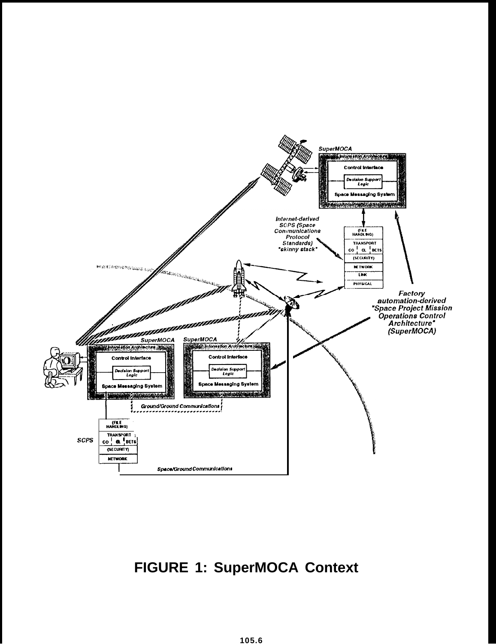

# **FIGURE 1: SuperMOCA Context**